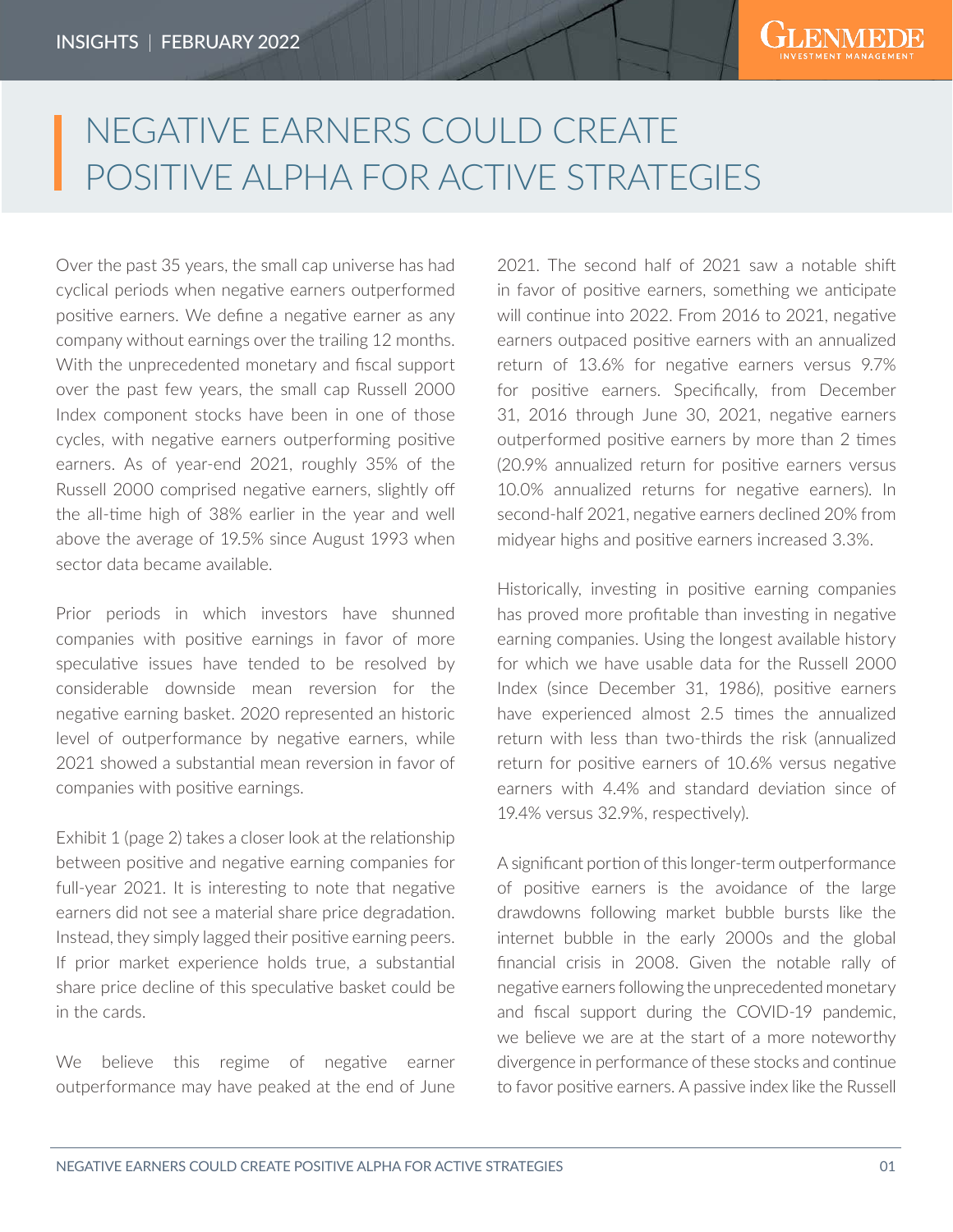## NEGATIVE EARNERS COULD CREATE POSITIVE ALPHA FOR ACTIVE STRATEGIES

Over the past 35 years, the small cap universe has had cyclical periods when negative earners outperformed positive earners. We define a negative earner as any company without earnings over the trailing 12 months. With the unprecedented monetary and fiscal support over the past few years, the small cap Russell 2000 Index component stocks have been in one of those cycles, with negative earners outperforming positive earners. As of year-end 2021, roughly 35% of the Russell 2000 comprised negative earners, slightly off the all-time high of 38% earlier in the year and well above the average of 19.5% since August 1993 when sector data became available.

Prior periods in which investors have shunned companies with positive earnings in favor of more speculative issues have tended to be resolved by considerable downside mean reversion for the negative earning basket. 2020 represented an historic level of outperformance by negative earners, while 2021 showed a substantial mean reversion in favor of companies with positive earnings.

Exhibit 1 (page 2) takes a closer look at the relationship between positive and negative earning companies for full-year 2021. It is interesting to note that negative earners did not see a material share price degradation. Instead, they simply lagged their positive earning peers. If prior market experience holds true, a substantial share price decline of this speculative basket could be in the cards.

We believe this regime of negative earner outperformance may have peaked at the end of June

2021. The second half of 2021 saw a notable shift in favor of positive earners, something we anticipate will continue into 2022. From 2016 to 2021, negative earners outpaced positive earners with an annualized return of 13.6% for negative earners versus 9.7% for positive earners. Specifically, from December 31, 2016 through June 30, 2021, negative earners outperformed positive earners by more than 2 times (20.9% annualized return for positive earners versus 10.0% annualized returns for negative earners). In second-half 2021, negative earners declined 20% from midyear highs and positive earners increased 3.3%.

Historically, investing in positive earning companies has proved more profitable than investing in negative earning companies. Using the longest available history for which we have usable data for the Russell 2000 Index (since December 31, 1986), positive earners have experienced almost 2.5 times the annualized return with less than two-thirds the risk (annualized return for positive earners of 10.6% versus negative earners with 4.4% and standard deviation since of 19.4% versus 32.9%, respectively).

A significant portion of this longer-term outperformance of positive earners is the avoidance of the large drawdowns following market bubble bursts like the internet bubble in the early 2000s and the global financial crisis in 2008. Given the notable rally of negative earners following the unprecedented monetary and fiscal support during the COVID-19 pandemic, we believe we are at the start of a more noteworthy divergence in performance of these stocks and continue to favor positive earners. A passive index like the Russell